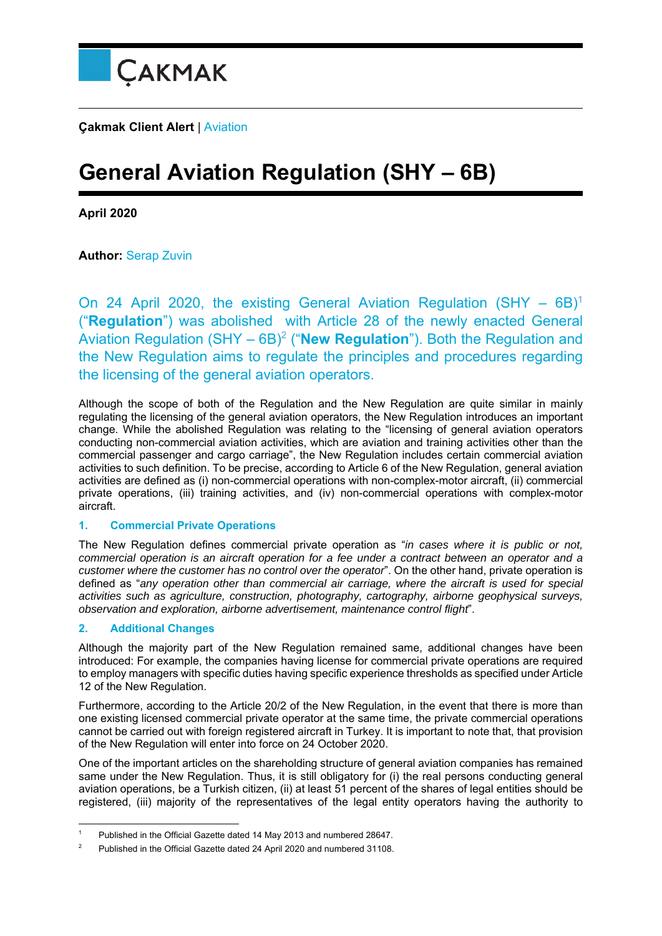

**Çakmak Client Alert** | Aviation

## **General Aviation Regulation (SHY – 6B)**

**April 2020** 

**Author:** Serap Zuvin

On 24 April 2020, the existing General Aviation Regulation (SHY  $-$  6B)<sup>1</sup> ("**Regulation**") was abolished with Article 28 of the newly enacted General Aviation Regulation (SHY – 6B)2 ("**New Regulation**"). Both the Regulation and the New Regulation aims to regulate the principles and procedures regarding the licensing of the general aviation operators.

Although the scope of both of the Regulation and the New Regulation are quite similar in mainly regulating the licensing of the general aviation operators, the New Regulation introduces an important change. While the abolished Regulation was relating to the "licensing of general aviation operators conducting non-commercial aviation activities, which are aviation and training activities other than the commercial passenger and cargo carriage", the New Regulation includes certain commercial aviation activities to such definition. To be precise, according to Article 6 of the New Regulation, general aviation activities are defined as (i) non-commercial operations with non-complex-motor aircraft, (ii) commercial private operations, (iii) training activities, and (iv) non-commercial operations with complex-motor aircraft.

## **1. Commercial Private Operations**

The New Regulation defines commercial private operation as "*in cases where it is public or not, commercial operation is an aircraft operation for a fee under a contract between an operator and a customer where the customer has no control over the operator*". On the other hand, private operation is defined as "*any operation other than commercial air carriage, where the aircraft is used for special activities such as agriculture, construction, photography, cartography, airborne geophysical surveys, observation and exploration, airborne advertisement, maintenance control flight*".

## **2. Additional Changes**

Although the majority part of the New Regulation remained same, additional changes have been introduced: For example, the companies having license for commercial private operations are required to employ managers with specific duties having specific experience thresholds as specified under Article 12 of the New Regulation.

Furthermore, according to the Article 20/2 of the New Regulation, in the event that there is more than one existing licensed commercial private operator at the same time, the private commercial operations cannot be carried out with foreign registered aircraft in Turkey. It is important to note that, that provision of the New Regulation will enter into force on 24 October 2020.

One of the important articles on the shareholding structure of general aviation companies has remained same under the New Regulation. Thus, it is still obligatory for (i) the real persons conducting general aviation operations, be a Turkish citizen, (ii) at least 51 percent of the shares of legal entities should be registered, (iii) majority of the representatives of the legal entity operators having the authority to

 1 Published in the Official Gazette dated 14 May 2013 and numbered 28647.

<sup>2</sup> Published in the Official Gazette dated 24 April 2020 and numbered 31108.